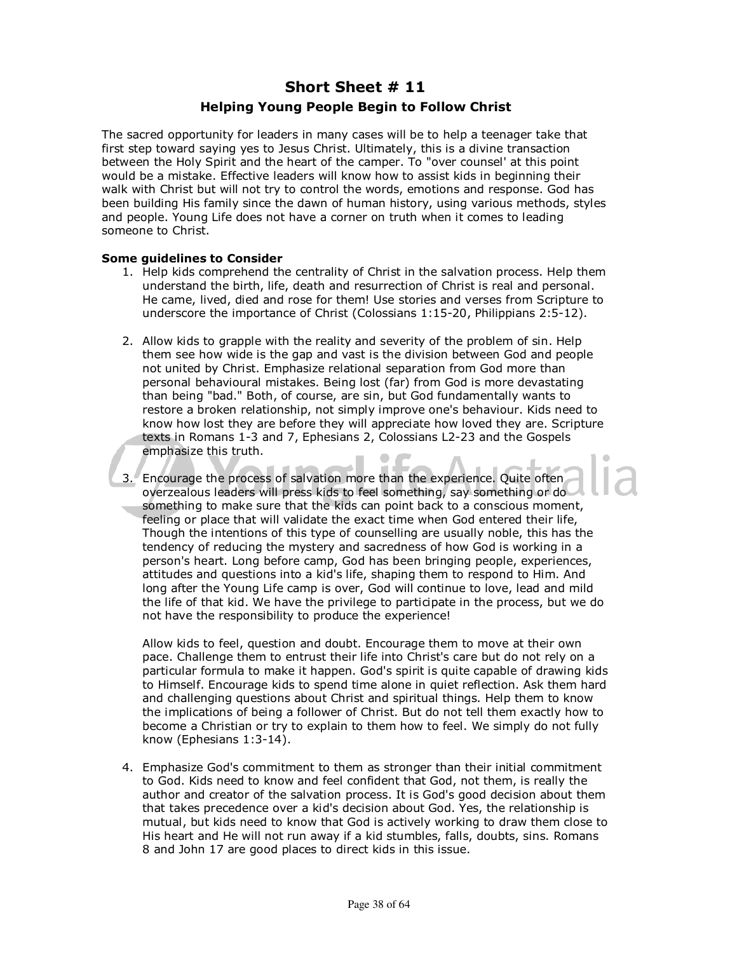## **Short Sheet # 11 Helping Young People Begin to Follow Christ**

The sacred opportunity for leaders in many cases will be to help a teenager take that first step toward saying yes to Jesus Christ. Ultimately, this is a divine transaction between the Holy Spirit and the heart of the camper. To "over counsel' at this point would be a mistake. Effective leaders will know how to assist kids in beginning their walk with Christ but will not try to control the words, emotions and response. God has been building His family since the dawn of human history, using various methods, styles and people. Young Life does not have a corner on truth when it comes to leading someone to Christ.

## **Some guidelines to Consider**

- 1. Help kids comprehend the centrality of Christ in the salvation process. Help them understand the birth, life, death and resurrection of Christ is real and personal. He came, lived, died and rose for them! Use stories and verses from Scripture to underscore the importance of Christ (Colossians 1:15-20, Philippians 2:5-12).
- 2. Allow kids to grapple with the reality and severity of the problem of sin. Help them see how wide is the gap and vast is the division between God and people not united by Christ. Emphasize relational separation from God more than personal behavioural mistakes. Being lost (far) from God is more devastating than being "bad." Both, of course, are sin, but God fundamentally wants to restore a broken relationship, not simply improve one's behaviour. Kids need to know how lost they are before they will appreciate how loved they are. Scripture texts in Romans 1-3 and 7, Ephesians 2, Colossians L2-23 and the Gospels emphasize this truth.
- 3. Encourage the process of salvation more than the experience. Quite often overzealous leaders will press kids to feel something, say something or do something to make sure that the kids can point back to a conscious moment, feeling or place that will validate the exact time when God entered their life, Though the intentions of this type of counselling are usually noble, this has the tendency of reducing the mystery and sacredness of how God is working in a person's heart. Long before camp, God has been bringing people, experiences, attitudes and questions into a kid's life, shaping them to respond to Him. And long after the Young Life camp is over, God will continue to love, lead and mild the life of that kid. We have the privilege to participate in the process, but we do not have the responsibility to produce the experience!

Allow kids to feel, question and doubt. Encourage them to move at their own pace. Challenge them to entrust their life into Christ's care but do not rely on a particular formula to make it happen. God's spirit is quite capable of drawing kids to Himself. Encourage kids to spend time alone in quiet reflection. Ask them hard and challenging questions about Christ and spiritual things. Help them to know the implications of being a follower of Christ. But do not tell them exactly how to become a Christian or try to explain to them how to feel. We simply do not fully know (Ephesians 1:3-14).

4. Emphasize God's commitment to them as stronger than their initial commitment to God. Kids need to know and feel confident that God, not them, is really the author and creator of the salvation process. It is God's good decision about them that takes precedence over a kid's decision about God. Yes, the relationship is mutual, but kids need to know that God is actively working to draw them close to His heart and He will not run away if a kid stumbles, falls, doubts, sins. Romans 8 and John 17 are good places to direct kids in this issue.